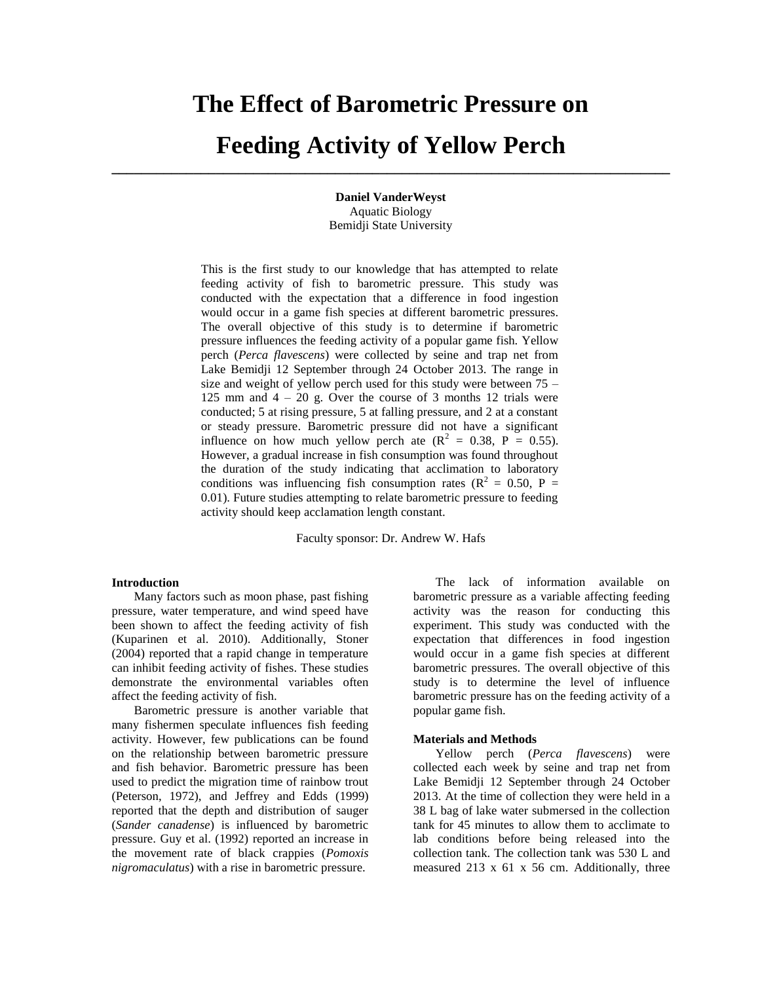# **The Effect of Barometric Pressure on**

# **Feeding Activity of Yellow Perch \_\_\_\_\_\_\_\_\_\_\_\_\_\_\_\_\_\_\_\_\_\_\_\_\_\_\_\_\_\_\_\_\_\_\_\_\_\_\_\_\_\_\_\_\_\_\_\_\_\_\_\_\_\_\_\_\_\_\_\_\_\_\_\_\_\_\_\_\_\_\_\_\_\_\_**

**Daniel VanderWeyst** Aquatic Biology Bemidji State University

This is the first study to our knowledge that has attempted to relate feeding activity of fish to barometric pressure. This study was conducted with the expectation that a difference in food ingestion would occur in a game fish species at different barometric pressures. The overall objective of this study is to determine if barometric pressure influences the feeding activity of a popular game fish. Yellow perch (*Perca flavescens*) were collected by seine and trap net from Lake Bemidji 12 September through 24 October 2013. The range in size and weight of yellow perch used for this study were between 75 – 125 mm and  $4 - 20$  g. Over the course of 3 months 12 trials were conducted; 5 at rising pressure, 5 at falling pressure, and 2 at a constant or steady pressure. Barometric pressure did not have a significant influence on how much yellow perch ate  $(R^2 = 0.38, P = 0.55)$ . However, a gradual increase in fish consumption was found throughout the duration of the study indicating that acclimation to laboratory conditions was influencing fish consumption rates ( $\mathbb{R}^2 = 0.50$ , P = 0.01). Future studies attempting to relate barometric pressure to feeding activity should keep acclamation length constant.

Faculty sponsor: Dr. Andrew W. Hafs

#### **Introduction**

Many factors such as moon phase, past fishing pressure, water temperature, and wind speed have been shown to affect the feeding activity of fish (Kuparinen et al. 2010). Additionally, Stoner (2004) reported that a rapid change in temperature can inhibit feeding activity of fishes. These studies demonstrate the environmental variables often affect the feeding activity of fish.

Barometric pressure is another variable that many fishermen speculate influences fish feeding activity. However, few publications can be found on the relationship between barometric pressure and fish behavior. Barometric pressure has been used to predict the migration time of rainbow trout (Peterson, 1972), and Jeffrey and Edds (1999) reported that the depth and distribution of sauger (*Sander canadense*) is influenced by barometric pressure. Guy et al. (1992) reported an increase in the movement rate of black crappies (*Pomoxis nigromaculatus*) with a rise in barometric pressure.

The lack of information available on barometric pressure as a variable affecting feeding activity was the reason for conducting this experiment. This study was conducted with the expectation that differences in food ingestion would occur in a game fish species at different barometric pressures. The overall objective of this study is to determine the level of influence barometric pressure has on the feeding activity of a popular game fish.

#### **Materials and Methods**

Yellow perch (*Perca flavescens*) were collected each week by seine and trap net from Lake Bemidji 12 September through 24 October 2013. At the time of collection they were held in a 38 L bag of lake water submersed in the collection tank for 45 minutes to allow them to acclimate to lab conditions before being released into the collection tank. The collection tank was 530 L and measured 213 x 61 x 56 cm. Additionally, three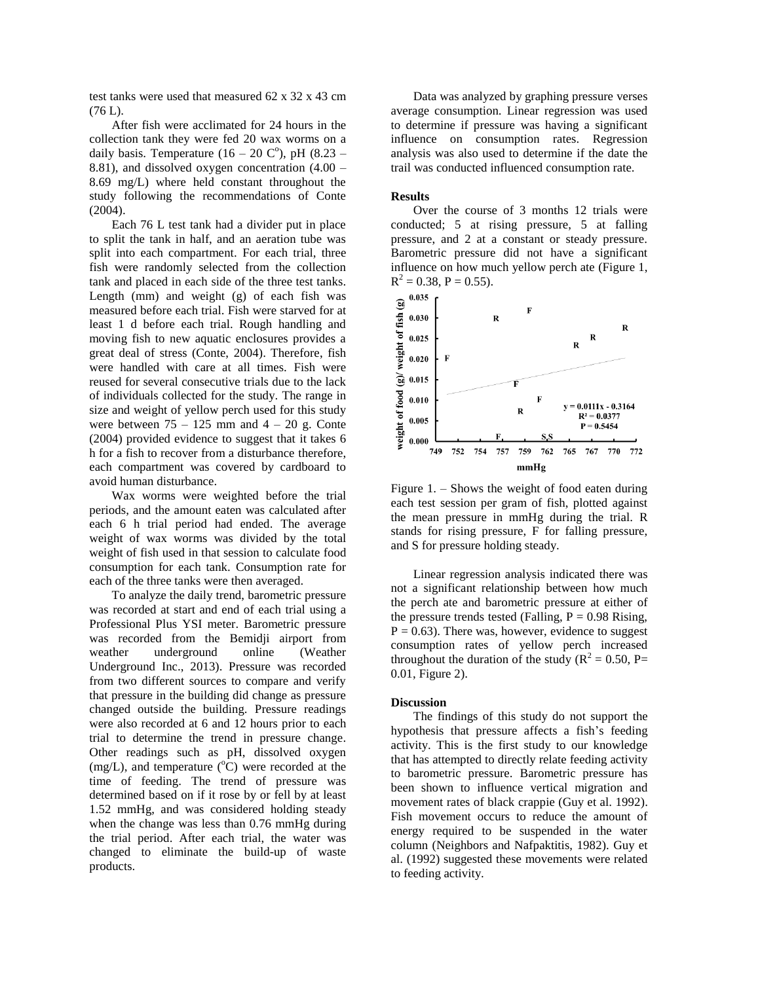test tanks were used that measured 62 x 32 x 43 cm (76 L).

After fish were acclimated for 24 hours in the collection tank they were fed 20 wax worms on a daily basis. Temperature  $(16 - 20 \text{ C}^{\circ})$ , pH  $(8.23 -$ 8.81), and dissolved oxygen concentration (4.00 – 8.69 mg/L) where held constant throughout the study following the recommendations of Conte (2004).

Each 76 L test tank had a divider put in place to split the tank in half, and an aeration tube was split into each compartment. For each trial, three fish were randomly selected from the collection tank and placed in each side of the three test tanks. Length (mm) and weight (g) of each fish was measured before each trial. Fish were starved for at least 1 d before each trial. Rough handling and moving fish to new aquatic enclosures provides a great deal of stress (Conte, 2004). Therefore, fish were handled with care at all times. Fish were reused for several consecutive trials due to the lack of individuals collected for the study. The range in size and weight of yellow perch used for this study were between  $75 - 125$  mm and  $4 - 20$  g. Conte (2004) provided evidence to suggest that it takes 6 h for a fish to recover from a disturbance therefore, each compartment was covered by cardboard to avoid human disturbance.

Wax worms were weighted before the trial periods, and the amount eaten was calculated after each 6 h trial period had ended. The average weight of wax worms was divided by the total weight of fish used in that session to calculate food consumption for each tank. Consumption rate for each of the three tanks were then averaged.

To analyze the daily trend, barometric pressure was recorded at start and end of each trial using a Professional Plus YSI meter. Barometric pressure was recorded from the Bemidji airport from weather underground online (Weather Underground Inc., 2013). Pressure was recorded from two different sources to compare and verify that pressure in the building did change as pressure changed outside the building. Pressure readings were also recorded at 6 and 12 hours prior to each trial to determine the trend in pressure change. Other readings such as pH, dissolved oxygen (mg/L), and temperature  $({}^{\circ}\text{C})$  were recorded at the time of feeding. The trend of pressure was determined based on if it rose by or fell by at least 1.52 mmHg, and was considered holding steady when the change was less than 0.76 mmHg during the trial period. After each trial, the water was changed to eliminate the build-up of waste products.

Data was analyzed by graphing pressure verses average consumption. Linear regression was used to determine if pressure was having a significant influence on consumption rates. Regression analysis was also used to determine if the date the trail was conducted influenced consumption rate.

### **Results**

Over the course of 3 months 12 trials were conducted; 5 at rising pressure, 5 at falling pressure, and 2 at a constant or steady pressure. Barometric pressure did not have a significant influence on how much yellow perch ate (Figure 1,  $R^2 = 0.38$ , P = 0.55).



Figure 1. – Shows the weight of food eaten during each test session per gram of fish, plotted against the mean pressure in mmHg during the trial. R stands for rising pressure, F for falling pressure, and S for pressure holding steady.

Linear regression analysis indicated there was not a significant relationship between how much the perch ate and barometric pressure at either of the pressure trends tested (Falling,  $P = 0.98$  Rising,  $P = 0.63$ ). There was, however, evidence to suggest consumption rates of yellow perch increased throughout the duration of the study ( $R^2 = 0.50$ , P= 0.01, Figure 2).

#### **Discussion**

The findings of this study do not support the hypothesis that pressure affects a fish's feeding activity. This is the first study to our knowledge that has attempted to directly relate feeding activity to barometric pressure. Barometric pressure has been shown to influence vertical migration and movement rates of black crappie (Guy et al. 1992). Fish movement occurs to reduce the amount of energy required to be suspended in the water column (Neighbors and Nafpaktitis, 1982). Guy et al. (1992) suggested these movements were related to feeding activity.